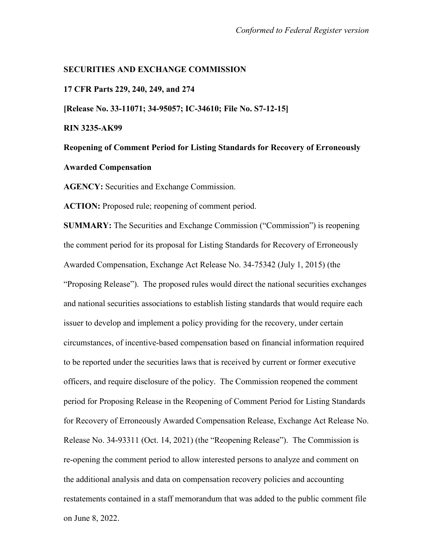## **SECURITIES AND EXCHANGE COMMISSION**

**17 CFR Parts 229, 240, 249, and 274**

**[Release No. 33-11071; 34-95057; IC-34610; File No. S7-12-15]**

**RIN 3235-AK99**

**Reopening of Comment Period for Listing Standards for Recovery of Erroneously Awarded Compensation**

**AGENCY:** Securities and Exchange Commission.

**ACTION:** Proposed rule; reopening of comment period.

**SUMMARY:** The Securities and Exchange Commission ("Commission") is reopening the comment period for its proposal for Listing Standards for Recovery of Erroneously Awarded Compensation, Exchange Act Release No. 34-75342 (July 1, 2015) (the "Proposing Release"). The proposed rules would direct the national securities exchanges and national securities associations to establish listing standards that would require each issuer to develop and implement a policy providing for the recovery, under certain circumstances, of incentive-based compensation based on financial information required to be reported under the securities laws that is received by current or former executive officers, and require disclosure of the policy. The Commission reopened the comment period for Proposing Release in the Reopening of Comment Period for Listing Standards for Recovery of Erroneously Awarded Compensation Release, Exchange Act Release No. Release No. 34-93311 (Oct. 14, 2021) (the "Reopening Release"). The Commission is re-opening the comment period to allow interested persons to analyze and comment on the additional analysis and data on compensation recovery policies and accounting restatements contained in a staff memorandum that was added to the public comment file on June 8, 2022.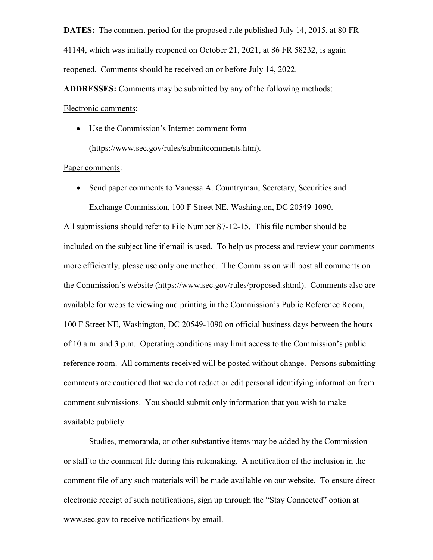**DATES:** The comment period for the proposed rule published July 14, 2015, at 80 FR 41144, which was initially reopened on October 21, 2021, at 86 FR 58232, is again reopened. Comments should be received on or before July 14, 2022.

**ADDRESSES:** Comments may be submitted by any of the following methods: Electronic comments:

• Use the Commission's Internet comment form (https://www.sec.gov/rules/submitcomments.htm).

## Paper comments:

• Send paper comments to Vanessa A. Countryman, Secretary, Securities and Exchange Commission, 100 F Street NE, Washington, DC 20549-1090.

All submissions should refer to File Number S7-12-15. This file number should be included on the subject line if email is used. To help us process and review your comments more efficiently, please use only one method. The Commission will post all comments on the Commission's website (https://www.sec.gov/rules/proposed.shtml). Comments also are available for website viewing and printing in the Commission's Public Reference Room, 100 F Street NE, Washington, DC 20549-1090 on official business days between the hours of 10 a.m. and 3 p.m. Operating conditions may limit access to the Commission's public reference room. All comments received will be posted without change. Persons submitting comments are cautioned that we do not redact or edit personal identifying information from comment submissions. You should submit only information that you wish to make available publicly.

Studies, memoranda, or other substantive items may be added by the Commission or staff to the comment file during this rulemaking. A notification of the inclusion in the comment file of any such materials will be made available on our website. To ensure direct electronic receipt of such notifications, sign up through the "Stay Connected" option at www.sec.gov to receive notifications by email.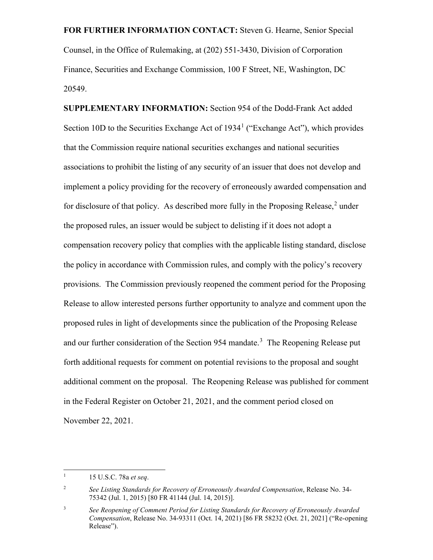**FOR FURTHER INFORMATION CONTACT:** Steven G. Hearne, Senior Special Counsel, in the Office of Rulemaking, at (202) 551-3430, Division of Corporation Finance, Securities and Exchange Commission, 100 F Street, NE, Washington, DC 20549.

**SUPPLEMENTARY INFORMATION:** Section 954 of the Dodd-Frank Act added Section [1](#page-2-0)0D to the Securities Exchange Act of  $1934<sup>1</sup>$  ("Exchange Act"), which provides that the Commission require national securities exchanges and national securities associations to prohibit the listing of any security of an issuer that does not develop and implement a policy providing for the recovery of erroneously awarded compensation and for disclosure of that policy. As described more fully in the Proposing Release,<sup>[2](#page-2-1)</sup> under the proposed rules, an issuer would be subject to delisting if it does not adopt a compensation recovery policy that complies with the applicable listing standard, disclose the policy in accordance with Commission rules, and comply with the policy's recovery provisions. The Commission previously reopened the comment period for the Proposing Release to allow interested persons further opportunity to analyze and comment upon the proposed rules in light of developments since the publication of the Proposing Release and our further consideration of the Section 954 mandate.<sup>[3](#page-2-2)</sup> The Reopening Release put forth additional requests for comment on potential revisions to the proposal and sought additional comment on the proposal. The Reopening Release was published for comment in the Federal Register on October 21, 2021, and the comment period closed on November 22, 2021.

<span id="page-2-0"></span> <sup>1</sup> 15 U.S.C. 78a *et seq*.

<span id="page-2-1"></span><sup>2</sup> *See Listing Standards for Recovery of Erroneously Awarded Compensation*, Release No. 34- 75342 (Jul. 1, 2015) [80 FR 41144 (Jul. 14, 2015)].

<span id="page-2-2"></span><sup>3</sup> *See Reopening of Comment Period for Listing Standards for Recovery of Erroneously Awarded Compensation*, Release No. 34-93311 (Oct. 14, 2021) [86 FR 58232 (Oct. 21, 2021] ("Re-opening Release").